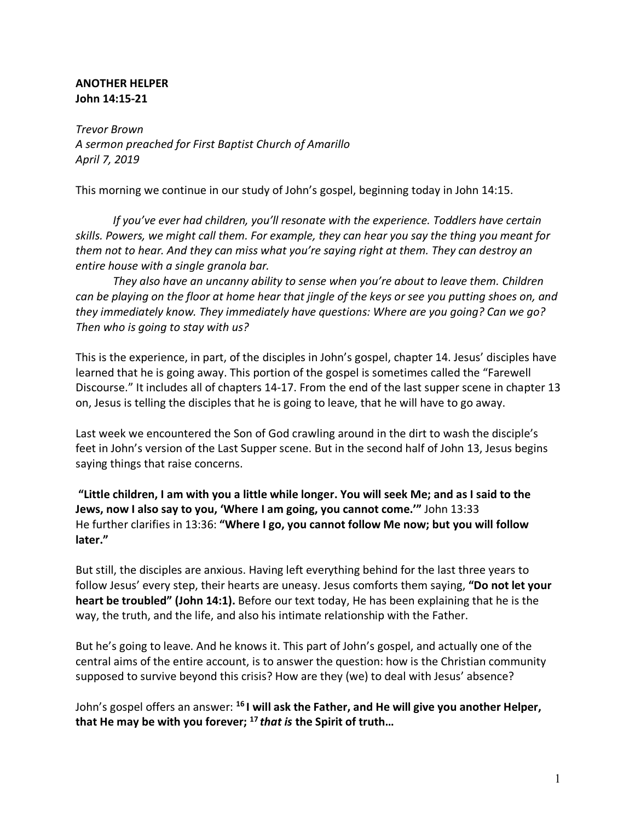## **ANOTHER HELPER John 14:15-21**

*Trevor Brown A sermon preached for First Baptist Church of Amarillo April 7, 2019*

This morning we continue in our study of John's gospel, beginning today in John 14:15.

*If you've ever had children, you'll resonate with the experience. Toddlers have certain skills. Powers, we might call them. For example, they can hear you say the thing you meant for them not to hear. And they can miss what you're saying right at them. They can destroy an entire house with a single granola bar.* 

*They also have an uncanny ability to sense when you're about to leave them. Children can be playing on the floor at home hear that jingle of the keys or see you putting shoes on, and they immediately know. They immediately have questions: Where are you going? Can we go? Then who is going to stay with us?*

This is the experience, in part, of the disciples in John's gospel, chapter 14. Jesus' disciples have learned that he is going away. This portion of the gospel is sometimes called the "Farewell Discourse." It includes all of chapters 14-17. From the end of the last supper scene in chapter 13 on, Jesus is telling the disciples that he is going to leave, that he will have to go away.

Last week we encountered the Son of God crawling around in the dirt to wash the disciple's feet in John's version of the Last Supper scene. But in the second half of John 13, Jesus begins saying things that raise concerns.

**"Little children, I am with you a little while longer. You will seek Me; and as I said to the Jews, now I also say to you, 'Where I am going, you cannot come.'"** John 13:33 He further clarifies in 13:36: **"Where I go, you cannot follow Me now; but you will follow later."**

But still, the disciples are anxious. Having left everything behind for the last three years to follow Jesus' every step, their hearts are uneasy. Jesus comforts them saying, **"Do not let your heart be troubled" (John 14:1).** Before our text today, He has been explaining that he is the way, the truth, and the life, and also his intimate relationship with the Father.

But he's going to leave. And he knows it. This part of John's gospel, and actually one of the central aims of the entire account, is to answer the question: how is the Christian community supposed to survive beyond this crisis? How are they (we) to deal with Jesus' absence?

John's gospel offers an answer: **<sup>16</sup> I will ask the Father, and He will give you another Helper, that He may be with you forever; <sup>17</sup>** *that is* **the Spirit of truth…**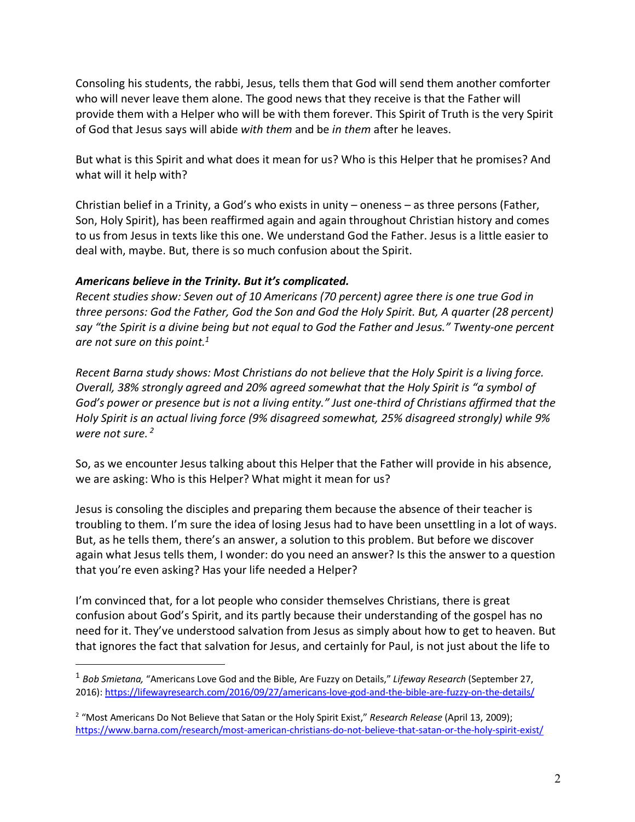Consoling his students, the rabbi, Jesus, tells them that God will send them another comforter who will never leave them alone. The good news that they receive is that the Father will provide them with a Helper who will be with them forever. This Spirit of Truth is the very Spirit of God that Jesus says will abide *with them* and be *in them* after he leaves.

But what is this Spirit and what does it mean for us? Who is this Helper that he promises? And what will it help with?

Christian belief in a Trinity, a God's who exists in unity – oneness – as three persons (Father, Son, Holy Spirit), has been reaffirmed again and again throughout Christian history and comes to us from Jesus in texts like this one. We understand God the Father. Jesus is a little easier to deal with, maybe. But, there is so much confusion about the Spirit.

#### *Americans believe in the Trinity. But it's complicated.*

<u>.</u>

*Recent studies show: Seven out of 10 Americans (70 percent) agree there is one true God in three persons: God the Father, God the Son and God the Holy Spirit. But, A quarter (28 percent) say "the Spirit is a divine being but not equal to God the Father and Jesus." Twenty-one percent are not sure on this point.1*

*Recent Barna study shows: Most Christians do not believe that the Holy Spirit is a living force. Overall, 38% strongly agreed and 20% agreed somewhat that the Holy Spirit is "a symbol of God's power or presence but is not a living entity." Just one-third of Christians affirmed that the Holy Spirit is an actual living force (9% disagreed somewhat, 25% disagreed strongly) while 9% were not sure. <sup>2</sup>*

So, as we encounter Jesus talking about this Helper that the Father will provide in his absence, we are asking: Who is this Helper? What might it mean for us?

Jesus is consoling the disciples and preparing them because the absence of their teacher is troubling to them. I'm sure the idea of losing Jesus had to have been unsettling in a lot of ways. But, as he tells them, there's an answer, a solution to this problem. But before we discover again what Jesus tells them, I wonder: do you need an answer? Is this the answer to a question that you're even asking? Has your life needed a Helper?

I'm convinced that, for a lot people who consider themselves Christians, there is great confusion about God's Spirit, and its partly because their understanding of the gospel has no need for it. They've understood salvation from Jesus as simply about how to get to heaven. But that ignores the fact that salvation for Jesus, and certainly for Paul, is not just about the life to

<sup>1</sup> *Bob Smietana,* "Americans Love God and the Bible, Are Fuzzy on Details," *Lifeway Research* (September 27, 2016): https://lifewayresearch.com/2016/09/27/americans-love-god-and-the-bible-are-fuzzy-on-the-details/

<sup>&</sup>lt;sup>2</sup> "Most Americans Do Not Believe that Satan or the Holy Spirit Exist," *Research Release* (April 13, 2009); https://www.barna.com/research/most-american-christians-do-not-believe-that-satan-or-the-holy-spirit-exist/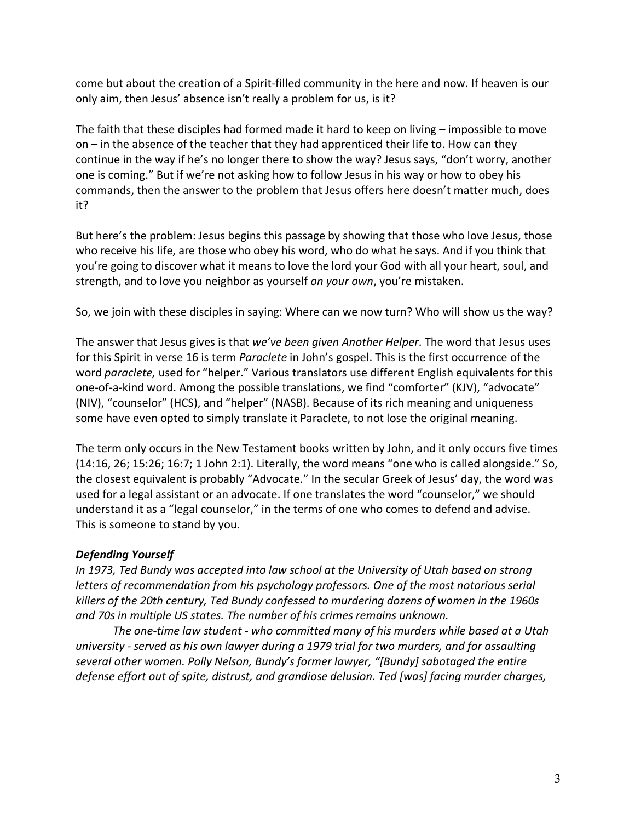come but about the creation of a Spirit-filled community in the here and now. If heaven is our only aim, then Jesus' absence isn't really a problem for us, is it?

The faith that these disciples had formed made it hard to keep on living – impossible to move on – in the absence of the teacher that they had apprenticed their life to. How can they continue in the way if he's no longer there to show the way? Jesus says, "don't worry, another one is coming." But if we're not asking how to follow Jesus in his way or how to obey his commands, then the answer to the problem that Jesus offers here doesn't matter much, does it?

But here's the problem: Jesus begins this passage by showing that those who love Jesus, those who receive his life, are those who obey his word, who do what he says. And if you think that you're going to discover what it means to love the lord your God with all your heart, soul, and strength, and to love you neighbor as yourself *on your own*, you're mistaken.

So, we join with these disciples in saying: Where can we now turn? Who will show us the way?

The answer that Jesus gives is that *we've been given Another Helper*. The word that Jesus uses for this Spirit in verse 16 is term *Paraclete* in John's gospel. This is the first occurrence of the word *paraclete,* used for "helper." Various translators use different English equivalents for this one-of-a-kind word. Among the possible translations, we find "comforter" (KJV), "advocate" (NIV), "counselor" (HCS), and "helper" (NASB). Because of its rich meaning and uniqueness some have even opted to simply translate it Paraclete, to not lose the original meaning.

The term only occurs in the New Testament books written by John, and it only occurs five times (14:16, 26; 15:26; 16:7; 1 John 2:1). Literally, the word means "one who is called alongside." So, the closest equivalent is probably "Advocate." In the secular Greek of Jesus' day, the word was used for a legal assistant or an advocate. If one translates the word "counselor," we should understand it as a "legal counselor," in the terms of one who comes to defend and advise. This is someone to stand by you.

# *Defending Yourself*

*In 1973, Ted Bundy was accepted into law school at the University of Utah based on strong letters of recommendation from his psychology professors. One of the most notorious serial killers of the 20th century, Ted Bundy confessed to murdering dozens of women in the 1960s and 70s in multiple US states. The number of his crimes remains unknown.*

*The one-time law student - who committed many of his murders while based at a Utah university - served as his own lawyer during a 1979 trial for two murders, and for assaulting several other women. Polly Nelson, Bundy's former lawyer, "[Bundy] sabotaged the entire defense effort out of spite, distrust, and grandiose delusion. Ted [was] facing murder charges,*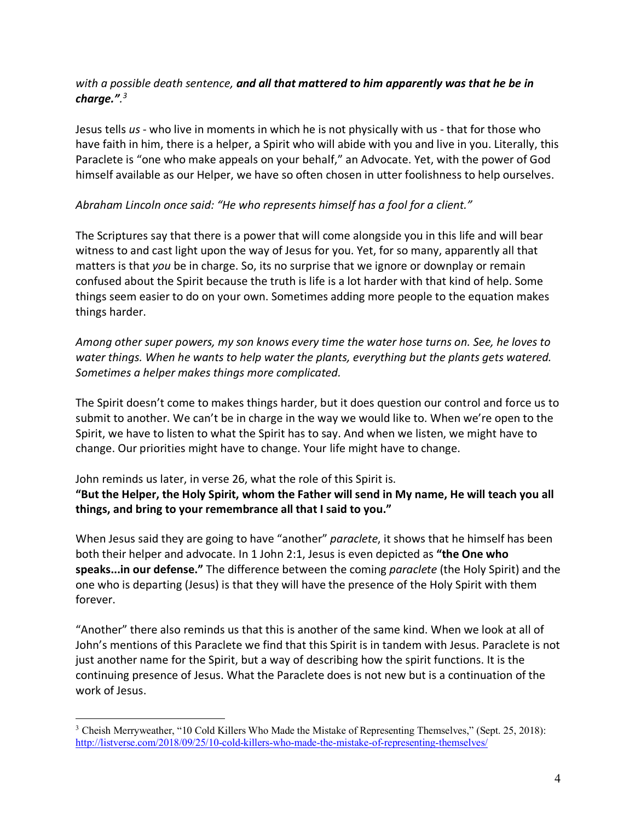# *with a possible death sentence, and all that mattered to him apparently was that he be in charge.". 3*

Jesus tells *us* - who live in moments in which he is not physically with us - that for those who have faith in him, there is a helper, a Spirit who will abide with you and live in you. Literally, this Paraclete is "one who make appeals on your behalf," an Advocate. Yet, with the power of God himself available as our Helper, we have so often chosen in utter foolishness to help ourselves.

## *Abraham Lincoln once said: "He who represents himself has a fool for a client."*

The Scriptures say that there is a power that will come alongside you in this life and will bear witness to and cast light upon the way of Jesus for you. Yet, for so many, apparently all that matters is that *you* be in charge. So, its no surprise that we ignore or downplay or remain confused about the Spirit because the truth is life is a lot harder with that kind of help. Some things seem easier to do on your own. Sometimes adding more people to the equation makes things harder.

*Among other super powers, my son knows every time the water hose turns on. See, he loves to water things. When he wants to help water the plants, everything but the plants gets watered. Sometimes a helper makes things more complicated.* 

The Spirit doesn't come to makes things harder, but it does question our control and force us to submit to another. We can't be in charge in the way we would like to. When we're open to the Spirit, we have to listen to what the Spirit has to say. And when we listen, we might have to change. Our priorities might have to change. Your life might have to change.

John reminds us later, in verse 26, what the role of this Spirit is. **"But the Helper, the Holy Spirit, whom the Father will send in My name, He will teach you all things, and bring to your remembrance all that I said to you."**

When Jesus said they are going to have "another" *paraclete*, it shows that he himself has been both their helper and advocate. In 1 John 2:1, Jesus is even depicted as **"the One who speaks...in our defense."** The difference between the coming *paraclete* (the Holy Spirit) and the one who is departing (Jesus) is that they will have the presence of the Holy Spirit with them forever.

"Another" there also reminds us that this is another of the same kind. When we look at all of John's mentions of this Paraclete we find that this Spirit is in tandem with Jesus. Paraclete is not just another name for the Spirit, but a way of describing how the spirit functions. It is the continuing presence of Jesus. What the Paraclete does is not new but is a continuation of the work of Jesus.

<sup>&</sup>lt;sup>3</sup> Cheish Merryweather, "10 Cold Killers Who Made the Mistake of Representing Themselves," (Sept. 25, 2018): http://listverse.com/2018/09/25/10-cold-killers-who-made-the-mistake-of-representing-themselves/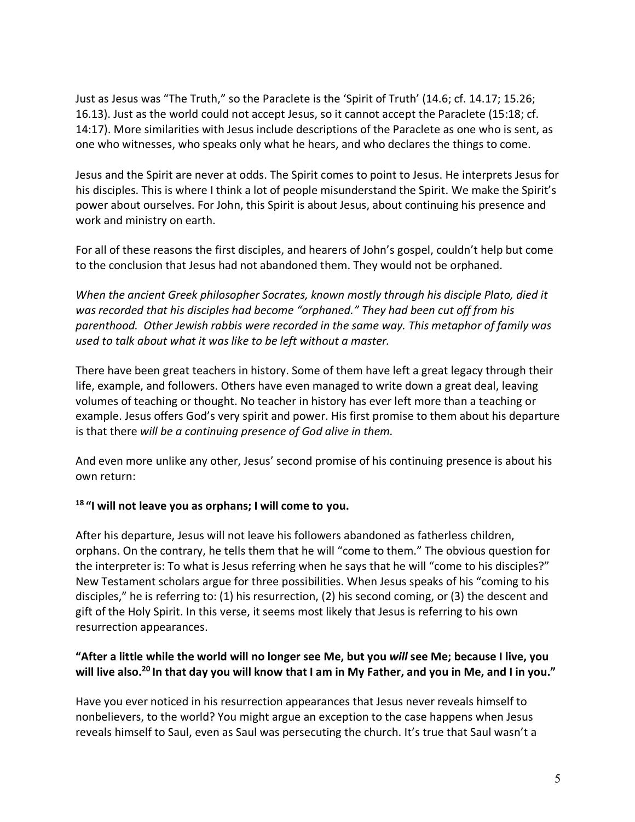Just as Jesus was "The Truth," so the Paraclete is the 'Spirit of Truth' (14.6; cf. 14.17; 15.26; 16.13). Just as the world could not accept Jesus, so it cannot accept the Paraclete (15:18; cf. 14:17). More similarities with Jesus include descriptions of the Paraclete as one who is sent, as one who witnesses, who speaks only what he hears, and who declares the things to come.

Jesus and the Spirit are never at odds. The Spirit comes to point to Jesus. He interprets Jesus for his disciples. This is where I think a lot of people misunderstand the Spirit. We make the Spirit's power about ourselves. For John, this Spirit is about Jesus, about continuing his presence and work and ministry on earth.

For all of these reasons the first disciples, and hearers of John's gospel, couldn't help but come to the conclusion that Jesus had not abandoned them. They would not be orphaned.

*When the ancient Greek philosopher Socrates, known mostly through his disciple Plato, died it was recorded that his disciples had become "orphaned." They had been cut off from his parenthood. Other Jewish rabbis were recorded in the same way. This metaphor of family was used to talk about what it was like to be left without a master.*

There have been great teachers in history. Some of them have left a great legacy through their life, example, and followers. Others have even managed to write down a great deal, leaving volumes of teaching or thought. No teacher in history has ever left more than a teaching or example. Jesus offers God's very spirit and power. His first promise to them about his departure is that there *will be a continuing presence of God alive in them.*

And even more unlike any other, Jesus' second promise of his continuing presence is about his own return:

## **<sup>18</sup> "I will not leave you as orphans; I will come to you.**

After his departure, Jesus will not leave his followers abandoned as fatherless children, orphans. On the contrary, he tells them that he will "come to them." The obvious question for the interpreter is: To what is Jesus referring when he says that he will "come to his disciples?" New Testament scholars argue for three possibilities. When Jesus speaks of his "coming to his disciples," he is referring to: (1) his resurrection, (2) his second coming, or (3) the descent and gift of the Holy Spirit. In this verse, it seems most likely that Jesus is referring to his own resurrection appearances.

# **"After a little while the world will no longer see Me, but you** *will* **see Me; because I live, you will live also.20 In that day you will know that I am in My Father, and you in Me, and I in you."**

Have you ever noticed in his resurrection appearances that Jesus never reveals himself to nonbelievers, to the world? You might argue an exception to the case happens when Jesus reveals himself to Saul, even as Saul was persecuting the church. It's true that Saul wasn't a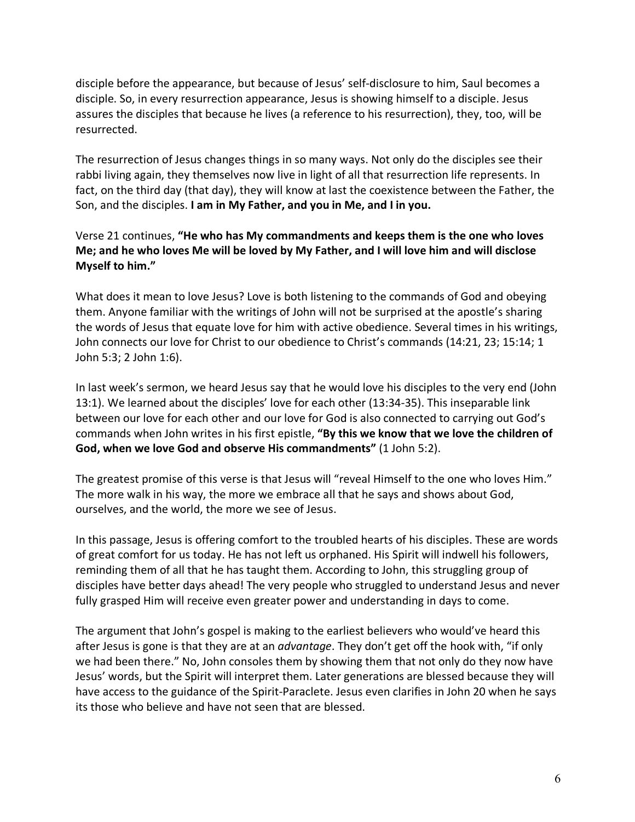disciple before the appearance, but because of Jesus' self-disclosure to him, Saul becomes a disciple. So, in every resurrection appearance, Jesus is showing himself to a disciple. Jesus assures the disciples that because he lives (a reference to his resurrection), they, too, will be resurrected.

The resurrection of Jesus changes things in so many ways. Not only do the disciples see their rabbi living again, they themselves now live in light of all that resurrection life represents. In fact, on the third day (that day), they will know at last the coexistence between the Father, the Son, and the disciples. **I am in My Father, and you in Me, and I in you.**

# Verse 21 continues, **"He who has My commandments and keeps them is the one who loves Me; and he who loves Me will be loved by My Father, and I will love him and will disclose Myself to him."**

What does it mean to love Jesus? Love is both listening to the commands of God and obeying them. Anyone familiar with the writings of John will not be surprised at the apostle's sharing the words of Jesus that equate love for him with active obedience. Several times in his writings, John connects our love for Christ to our obedience to Christ's commands (14:21, 23; 15:14; 1 John 5:3; 2 John 1:6).

In last week's sermon, we heard Jesus say that he would love his disciples to the very end (John 13:1). We learned about the disciples' love for each other (13:34-35). This inseparable link between our love for each other and our love for God is also connected to carrying out God's commands when John writes in his first epistle, **"By this we know that we love the children of God, when we love God and observe His commandments"** (1 John 5:2).

The greatest promise of this verse is that Jesus will "reveal Himself to the one who loves Him." The more walk in his way, the more we embrace all that he says and shows about God, ourselves, and the world, the more we see of Jesus.

In this passage, Jesus is offering comfort to the troubled hearts of his disciples. These are words of great comfort for us today. He has not left us orphaned. His Spirit will indwell his followers, reminding them of all that he has taught them. According to John, this struggling group of disciples have better days ahead! The very people who struggled to understand Jesus and never fully grasped Him will receive even greater power and understanding in days to come.

The argument that John's gospel is making to the earliest believers who would've heard this after Jesus is gone is that they are at an *advantage*. They don't get off the hook with, "if only we had been there." No, John consoles them by showing them that not only do they now have Jesus' words, but the Spirit will interpret them. Later generations are blessed because they will have access to the guidance of the Spirit-Paraclete. Jesus even clarifies in John 20 when he says its those who believe and have not seen that are blessed.